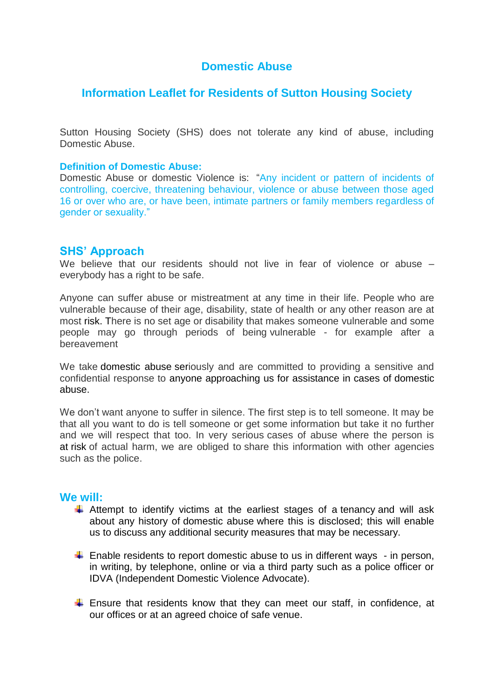# **Domestic Abuse**

# **Information Leaflet for Residents of Sutton Housing Society**

Sutton Housing Society (SHS) does not tolerate any kind of abuse, including Domestic Abuse.

#### **Definition of Domestic Abuse:**

Domestic Abuse or domestic Violence is: "Any incident or pattern of incidents of controlling, coercive, threatening behaviour, violence or abuse between those aged 16 or over who are, or have been, intimate partners or family members regardless of gender or sexuality."

## **SHS' Approach**

We believe that our residents should not live in fear of violence or abuse – everybody has a right to be safe.

Anyone can suffer abuse or mistreatment at any time in their life. People who are vulnerable because of their age, disability, state of health or any other reason are at most [risk.](https://aha.adactushousing.co.uk/Information?t=592;d=546) There is no set age or disability that makes someone vulnerable and some people may go through periods of being vulnerable - for example after a bereavement

We take [domestic abuse](https://aha.adactushousing.co.uk/Information?t=932;d=436) seriously and are committed to providing a sensitive and confidential response to anyone approaching us for assistance in cases of [domestic](https://aha.adactushousing.co.uk/Information?t=932;d=436)  [abuse.](https://aha.adactushousing.co.uk/Information?t=932;d=436)

We don't want anyone to suffer in silence. The first step is to tell someone. It may be that all you want to do is tell someone or get some information but take it no further and we will respect that too. In very serious cases of abuse where the person is at [risk](https://aha.adactushousing.co.uk/Information?t=592;d=546) of actual harm, we are obliged to share this information with other agencies such as the police.

# **We will:**

- $\ddot{+}$  Attempt to identify victims at the earliest stages of a [tenancy](https://aha.adactushousing.co.uk/Information?t=40;d=436) and will ask about any history of [domestic abuse](https://aha.adactushousing.co.uk/Information?t=932;d=436) where this is disclosed; this will enable us to discuss any additional security measures that may be necessary.
- $\downarrow$  Enable residents to report [domestic abuse](https://aha.adactushousing.co.uk/Information?t=932;d=436) to us in different ways in person, in writing, by telephone, online or via a third party such as a police officer or IDVA (Independent Domestic Violence Advocate).
- $\ddot{+}$  Ensure that residents know that they can meet our staff, in confidence, at our [offices](https://aha.adactushousing.co.uk/Information?t=61;d=436) or at an agreed choice of safe venue.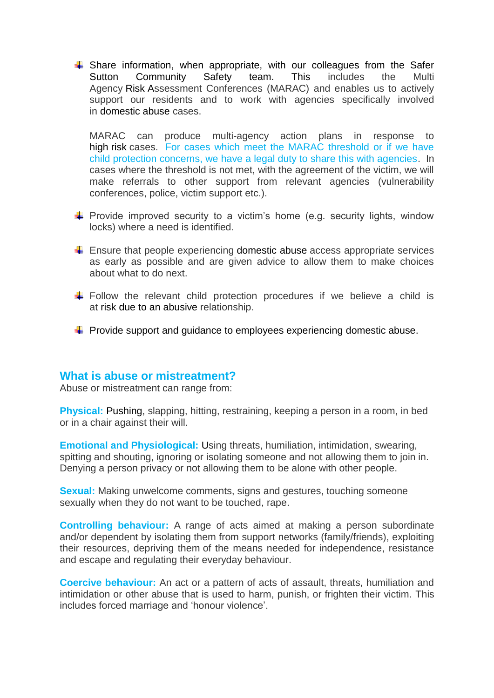$\ddot$  Share information, when appropriate, with our colleagues from the Safer Sutton Community Safety team. This includes the Multi Agency [Risk](https://aha.adactushousing.co.uk/Information?t=593;d=436) Assessment Conferences (MARAC) and enables us to actively support our residents and to work with agencies specifically involved in [domestic abuse](https://aha.adactushousing.co.uk/Information?t=932;d=436) cases.

MARAC can produce multi-agency action plans in response to high [risk](https://aha.adactushousing.co.uk/Information?t=592;d=436) cases. For cases which meet the MARAC threshold or if we have child protection concerns, we have a legal duty to share this with agencies. In cases where the threshold is not met, with the agreement of the victim, we will make referrals to other support from relevant agencies (vulnerability conferences, police, victim support etc.).

- $\downarrow$  Provide improved security to a victim's home (e.g. security lights, window locks) where a need is identified.
- $\downarrow$  Ensure that people experiencing [domestic abuse](https://aha.adactushousing.co.uk/Information?t=932;d=436) access appropriate services as early as possible and are given advice to allow them to make choices about what to do next.
- $\downarrow$  Follow the relevant child protection procedures if we believe a child is at [risk](https://aha.adactushousing.co.uk/Information?t=592;d=436) due to an [abusive](https://aha.adactushousing.co.uk/Information?t=418;d=436) relationship.
- $\downarrow$  Provide support and guidance to employees experiencing [domestic abuse.](https://aha.adactushousing.co.uk/Information?t=932;d=436)

## **What is abuse or mistreatment?**

Abuse or mistreatment can range from:

**Physical:** Pushing, slapping, hitting, restraining, keeping a person in a room, in bed or in a chair against their will.

**Emotional and Physiological:** Using threats, humiliation, intimidation, swearing, spitting and shouting, ignoring or isolating someone and not allowing them to join in. Denying a person privacy or not allowing them to be alone with other people.

**Sexual:** Making unwelcome comments, signs and gestures, touching someone sexually when they do not want to be touched, rape.

**Controlling behaviour:** A range of acts aimed at making a person subordinate and/or dependent by isolating them from support networks (family/friends), exploiting their resources, depriving them of the means needed for independence, resistance and escape and regulating their everyday behaviour.

**Coercive behaviour:** An act or a pattern of acts of assault, threats, humiliation and intimidation or other abuse that is used to harm, punish, or frighten their victim. This includes forced marriage and 'honour violence'.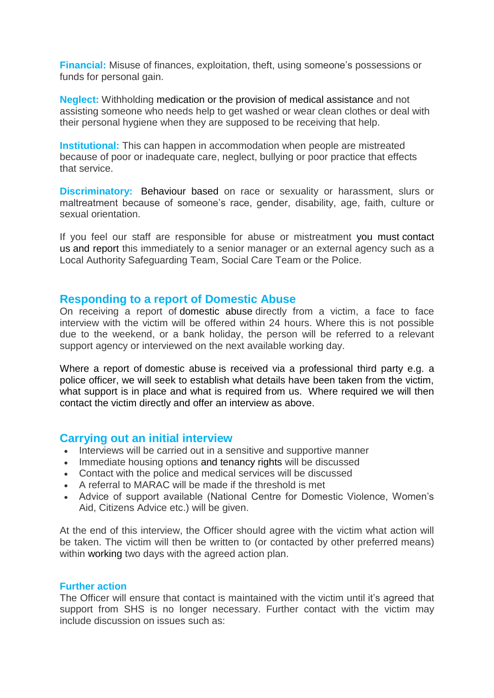**Financial:** Misuse of finances, exploitation, theft, using someone's possessions or funds for personal gain.

**Neglect:** Withholding medication or the provision of medical assistance and not assisting someone who needs help to get washed or wear clean clothes or deal with their personal hygiene when they are supposed to be receiving that help.

**Institutional:** This can happen in accommodation when people are mistreated because of poor or inadequate care, neglect, bullying or poor practice that effects that service.

**Discriminatory:** Behaviour based on race or sexuality or harassment, slurs or maltreatment because of someone's race, gender, disability, age, faith, culture or sexual orientation.

If you feel our staff are responsible for abuse or mistreatment you must [contact](https://aha.adactushousing.co.uk/Information?t=20;d=546)  [us](https://aha.adactushousing.co.uk/Information?t=20;d=546) and report this immediately to a senior manager or an external agency such as a Local Authority Safeguarding Team, Social Care Team or the Police.

## **Responding to a report of [Domestic](https://aha.adactushousing.co.uk/Information?t=932;d=436) Abuse**

On receiving a report of [domestic abuse](https://aha.adactushousing.co.uk/Information?t=932;d=436) directly from a victim, a face to face interview with the victim will be offered within 24 hours. Where this is not possible due to the weekend, or a bank holiday, the person will be referred to a relevant support agency or interviewed on the next available working day.

Where a report of [domestic abuse](https://aha.adactushousing.co.uk/Information?t=932;d=436) is received via a professional third party e.g. a police officer, we will seek to establish what details have been taken from the victim, what support is in place and what is required from us. Where required we will then contact the victim directly and offer an interview as above.

## **Carrying out an initial interview**

- Interviews will be carried out in a sensitive and supportive manner
- Immediate housing options and [tenancy](https://aha.adactushousing.co.uk/Information?t=40;d=436) rights will be discussed
- Contact with the police and medical services will be discussed
- A referral to MARAC will be made if the threshold is met
- Advice of support available (National Centre for Domestic Violence, Women's Aid, Citizens Advice etc.) will be given.

At the end of this interview, the Officer should agree with the victim what action will be taken. The victim will then be written to (or contacted by other preferred means) within working two days with the agreed action plan.

## **Further action**

The Officer will ensure that contact is maintained with the victim until it's agreed that support from SHS is no longer necessary. Further contact with the victim may include discussion on issues such as: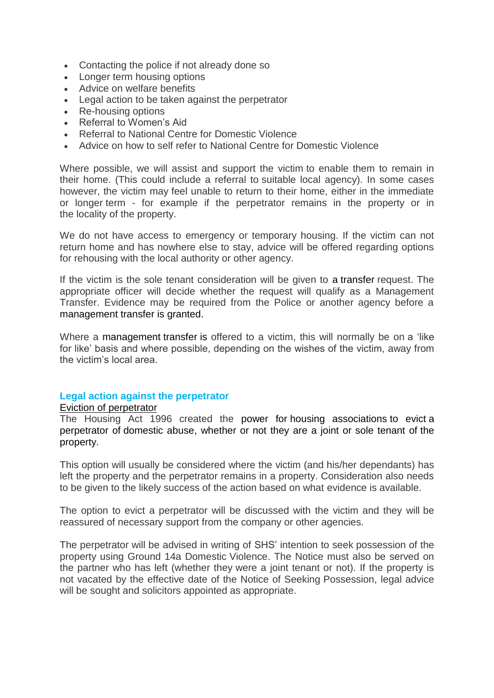- Contacting the police if not already done so
- Longer term housing options
- Advice on welfare benefits
- Legal action to be taken against the perpetrator
- Re-housing options
- Referral to Women's Aid
- Referral to National Centre for Domestic Violence
- Advice on how to self refer to National Centre for Domestic Violence

Where possible, we will assist and support the victim to enable them to remain in their home. (This could include a referral to suitable local agency). In some cases however, the victim may feel unable to return to their home, either in the immediate or longer term - for example if the perpetrator remains in the property or in the locality of the property.

We do not have access to emergency or temporary housing. If the victim can not return home and has nowhere else to stay, advice will be offered regarding options for rehousing with the local authority or other agency.

If the victim is the sole tenant consideration will be given to a [transfer](https://aha.adactushousing.co.uk/Information?t=10;d=436) request. The appropriate officer will decide whether the request will qualify as a Management Transfer. Evidence may be required from the Police or another agency before a management [transfer](https://aha.adactushousing.co.uk/Information?t=10;d=436) is granted.

Where a management [transfer](https://aha.adactushousing.co.uk/Information?t=10;d=436) is offered to a victim, this will normally be on a 'like for like' basis and where possible, depending on the wishes of the victim, away from the victim's local area.

## **Legal action against the perpetrator**

#### [Eviction](https://aha.adactushousing.co.uk/Information?t=1496;d=436) of perpetrator

The Housing Act 1996 created the power for [housing associations](https://aha.adactushousing.co.uk/Information?t=156;d=436) to evict a perpetrator of [domestic abuse,](https://aha.adactushousing.co.uk/Information?t=932;d=436) whether or not they are a joint or sole tenant of the property.

This option will usually be considered where the victim (and his/her dependants) has left the property and the perpetrator remains in a property. Consideration also needs to be given to the likely success of the action based on what evidence is available.

The option to evict a perpetrator will be discussed with the victim and they will be reassured of necessary support from the company or other agencies.

The perpetrator will be advised in writing of SHS' intention to seek possession of the property using Ground 14a Domestic Violence. The Notice must also be served on the partner who has left (whether they were a joint tenant or not). If the property is not vacated by the effective date of the Notice of Seeking Possession, legal advice will be sought and solicitors appointed as appropriate.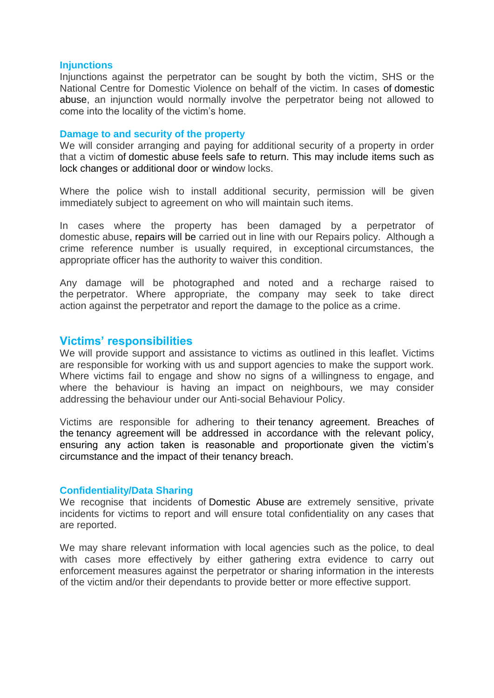#### **Injunctions**

Injunctions against the perpetrator can be sought by both the victim, SHS or the National Centre for Domestic Violence on behalf of the victim. In cases of [domestic](https://aha.adactushousing.co.uk/Information?t=932;d=436)  [abuse,](https://aha.adactushousing.co.uk/Information?t=932;d=436) an injunction would normally involve the perpetrator being not allowed to come into the locality of the victim's home.

#### **Damage to and security of the property**

We will consider arranging and paying for additional security of a property in order that a victim of [domestic abuse](https://aha.adactushousing.co.uk/Information?t=932;d=436) feels safe to return. This may include items such as lock changes or additional door or window locks.

Where the police wish to install additional security, permission will be given immediately subject to agreement on who will maintain such items.

In cases where the property has been damaged by a perpetrator of domestic abuse, [repairs](https://aha.adactushousing.co.uk/Information?t=94;d=436) will be carried out in line with our Repairs policy. Although a crime reference number is usually required, in exceptional circumstances, the appropriate officer has the authority to waiver this condition.

Any damage will be photographed and noted and a recharge raised to the perpetrator. Where appropriate, the company may seek to take direct action against the perpetrator and report the damage to the police as a crime.

# **Victims' responsibilities**

We will provide support and assistance to victims as outlined in this leaflet. Victims are responsible for working with us and support agencies to make the support work. Where victims fail to engage and show no signs of a willingness to engage, and where the behaviour is having an impact on neighbours, we may consider addressing the behaviour under our Anti-social Behaviour Policy.

Victims are responsible for adhering to their [tenancy agreement.](https://aha.adactushousing.co.uk/Information?t=42;d=436) Breaches of the [tenancy agreement](https://aha.adactushousing.co.uk/Information?t=42;d=436) will be addressed in accordance with the relevant policy, ensuring any action taken is reasonable and proportionate given the victim's circumstance and the impact of their [tenancy](https://aha.adactushousing.co.uk/Information?t=40;d=436) breach.

#### **Confidentiality/Data Sharing**

We recognise that incidents of [Domestic Abuse](https://aha.adactushousing.co.uk/Information?t=931;d=436) are extremely sensitive, private incidents for victims to report and will ensure total confidentiality on any cases that are reported.

We may share relevant information with local agencies such as the police, to deal with cases more effectively by either gathering extra evidence to carry out enforcement measures against the perpetrator or sharing information in the interests of the victim and/or their dependants to provide better or more effective support.